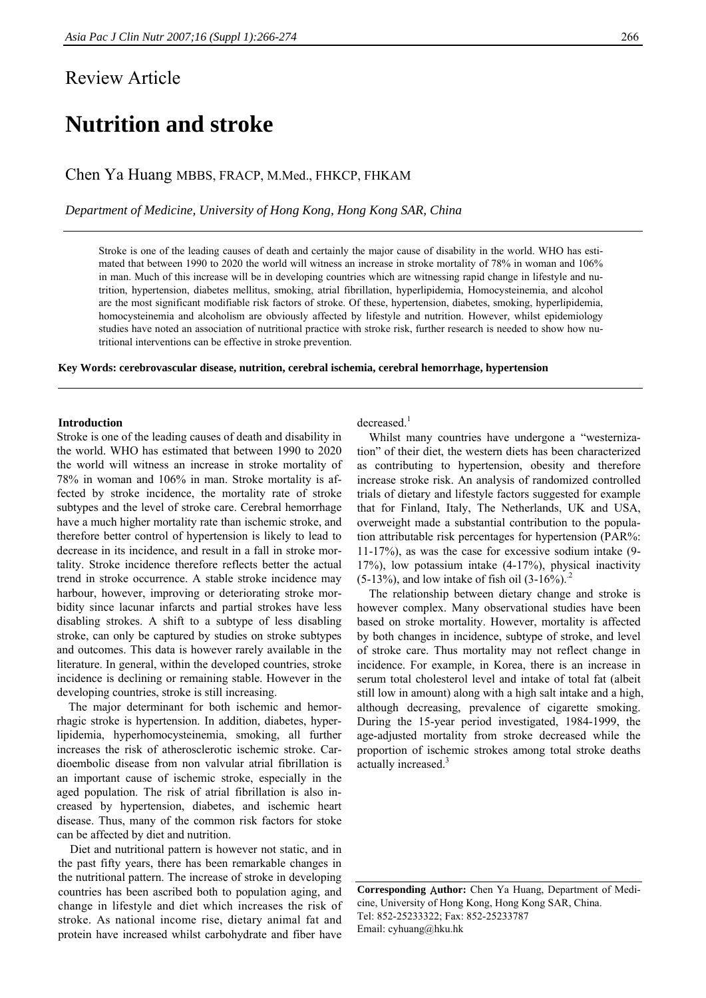# Review Article

# **Nutrition and stroke**

Chen Ya Huang MBBS, FRACP, M.Med., FHKCP, FHKAM

*Department of Medicine, University of Hong Kong, Hong Kong SAR, China*

Stroke is one of the leading causes of death and certainly the major cause of disability in the world. WHO has estimated that between 1990 to 2020 the world will witness an increase in stroke mortality of 78% in woman and 106% in man. Much of this increase will be in developing countries which are witnessing rapid change in lifestyle and nutrition, hypertension, diabetes mellitus, smoking, atrial fibrillation, hyperlipidemia, Homocysteinemia, and alcohol are the most significant modifiable risk factors of stroke. Of these, hypertension, diabetes, smoking, hyperlipidemia, homocysteinemia and alcoholism are obviously affected by lifestyle and nutrition. However, whilst epidemiology studies have noted an association of nutritional practice with stroke risk, further research is needed to show how nutritional interventions can be effective in stroke prevention.

**Key Words: cerebrovascular disease, nutrition, cerebral ischemia, cerebral hemorrhage, hypertension** 

# **Introduction**

Stroke is one of the leading causes of death and disability in the world. WHO has estimated that between 1990 to 2020 the world will witness an increase in stroke mortality of 78% in woman and 106% in man. Stroke mortality is affected by stroke incidence, the mortality rate of stroke subtypes and the level of stroke care. Cerebral hemorrhage have a much higher mortality rate than ischemic stroke, and therefore better control of hypertension is likely to lead to decrease in its incidence, and result in a fall in stroke mortality. Stroke incidence therefore reflects better the actual trend in stroke occurrence. A stable stroke incidence may harbour, however, improving or deteriorating stroke morbidity since lacunar infarcts and partial strokes have less disabling strokes. A shift to a subtype of less disabling stroke, can only be captured by studies on stroke subtypes and outcomes. This data is however rarely available in the literature. In general, within the developed countries, stroke incidence is declining or remaining stable. However in the developing countries, stroke is still increasing.

The major determinant for both ischemic and hemorrhagic stroke is hypertension. In addition, diabetes, hyperlipidemia, hyperhomocysteinemia, smoking, all further increases the risk of atherosclerotic ischemic stroke. Cardioembolic disease from non valvular atrial fibrillation is an important cause of ischemic stroke, especially in the aged population. The risk of atrial fibrillation is also increased by hypertension, diabetes, and ischemic heart disease. Thus, many of the common risk factors for stoke can be affected by diet and nutrition.

 Diet and nutritional pattern is however not static, and in the past fifty years, there has been remarkable changes in the nutritional pattern. The increase of stroke in developing countries has been ascribed both to population aging, and change in lifestyle and diet which increases the risk of stroke. As national income rise, dietary animal fat and protein have increased whilst carbohydrate and fiber have

decreased.<sup>1</sup>

 Whilst many countries have undergone a "westernization" of their diet, the western diets has been characterized as contributing to hypertension, obesity and therefore increase stroke risk. An analysis of randomized controlled trials of dietary and lifestyle factors suggested for example that for Finland, Italy, The Netherlands, UK and USA, overweight made a substantial contribution to the population attributable risk percentages for hypertension (PAR%: 11-17%), as was the case for excessive sodium intake (9- 17%), low potassium intake (4-17%), physical inactivity  $(5-13\%)$ , and low intake of fish oil  $(3-16\%)$ .<sup>2</sup>

 The relationship between dietary change and stroke is however complex. Many observational studies have been based on stroke mortality. However, mortality is affected by both changes in incidence, subtype of stroke, and level of stroke care. Thus mortality may not reflect change in incidence. For example, in Korea, there is an increase in serum total cholesterol level and intake of total fat (albeit still low in amount) along with a high salt intake and a high, although decreasing, prevalence of cigarette smoking. During the 15-year period investigated, 1984-1999, the age-adjusted mortality from stroke decreased while the proportion of ischemic strokes among total stroke deaths actually increased.<sup>3</sup>

**Corresponding** A**uthor:** Chen Ya Huang, Department of Medicine, University of Hong Kong, Hong Kong SAR, China. Tel: 852-25233322; Fax: 852-25233787 Email: cyhuang@hku.hk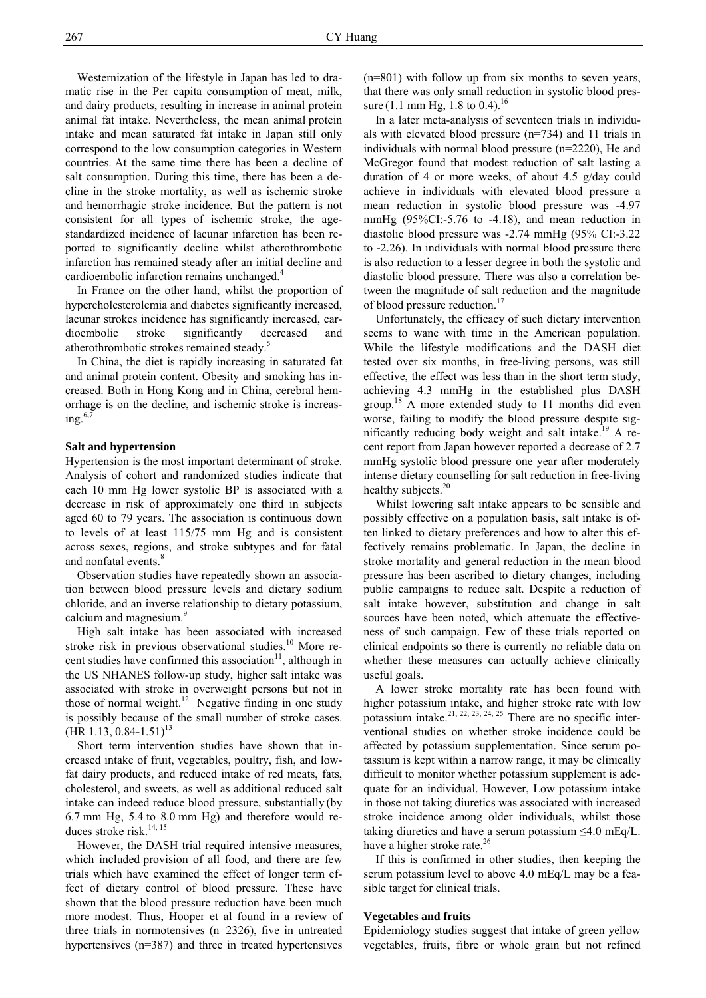Westernization of the lifestyle in Japan has led to dramatic rise in the Per capita consumption of meat, milk, and dairy products, resulting in increase in animal protein animal fat intake. Nevertheless, the mean animal protein intake and mean saturated fat intake in Japan still only correspond to the low consumption categories in Western countries. At the same time there has been a decline of salt consumption. During this time, there has been a decline in the stroke mortality, as well as ischemic stroke and hemorrhagic stroke incidence. But the pattern is not consistent for all types of ischemic stroke, the agestandardized incidence of lacunar infarction has been reported to significantly decline whilst atherothrombotic infarction has remained steady after an initial decline and cardioembolic infarction remains unchanged.<sup>4</sup>

 In France on the other hand, whilst the proportion of hypercholesterolemia and diabetes significantly increased, lacunar strokes incidence has significantly increased, cardioembolic stroke significantly decreased and atherothrombotic strokes remained steady.<sup>5</sup>

 In China, the diet is rapidly increasing in saturated fat and animal protein content. Obesity and smoking has increased. Both in Hong Kong and in China, cerebral hemorrhage is on the decline, and ischemic stroke is increasing. $6$ ,

#### **Salt and hypertension**

Hypertension is the most important determinant of stroke. Analysis of cohort and randomized studies indicate that each 10 mm Hg lower systolic BP is associated with a decrease in risk of approximately one third in subjects aged 60 to 79 years. The association is continuous down to levels of at least 115/75 mm Hg and is consistent across sexes, regions, and stroke subtypes and for fatal and nonfatal events.<sup>8</sup>

 Observation studies have repeatedly shown an association between blood pressure levels and dietary sodium chloride, and an inverse relationship to dietary potassium, calcium and magnesium.<sup>9</sup>

 High salt intake has been associated with increased stroke risk in previous observational studies.<sup>10</sup> More recent studies have confirmed this association<sup>11</sup>, although in the US NHANES follow-up study, higher salt intake was associated with stroke in overweight persons but not in those of normal weight.<sup>12</sup> Negative finding in one study is possibly because of the small number of stroke cases.  $(HR 1.13, 0.84-1.51)^{13}$ 

 Short term intervention studies have shown that increased intake of fruit, vegetables, poultry, fish, and lowfat dairy products, and reduced intake of red meats, fats, cholesterol, and sweets, as well as additional reduced salt intake can indeed reduce blood pressure, substantially (by 6.7 mm Hg, 5.4 to 8.0 mm Hg) and therefore would reduces stroke risk.<sup>14, 15</sup>

 However, the DASH trial required intensive measures, which included provision of all food, and there are few trials which have examined the effect of longer term effect of dietary control of blood pressure. These have shown that the blood pressure reduction have been much more modest. Thus, Hooper et al found in a review of three trials in normotensives (n=2326), five in untreated hypertensives (n=387) and three in treated hypertensives (n=801) with follow up from six months to seven years, that there was only small reduction in systolic blood pressure (1.1 mm Hg, 1.8 to 0.4).<sup>16</sup>

 In a later meta-analysis of seventeen trials in individuals with elevated blood pressure (n=734) and 11 trials in individuals with normal blood pressure (n=2220), He and McGregor found that modest reduction of salt lasting a duration of 4 or more weeks, of about 4.5 g/day could achieve in individuals with elevated blood pressure a mean reduction in systolic blood pressure was -4.97 mmHg (95%CI:-5.76 to -4.18), and mean reduction in diastolic blood pressure was -2.74 mmHg (95% CI:-3.22 to -2.26). In individuals with normal blood pressure there is also reduction to a lesser degree in both the systolic and diastolic blood pressure. There was also a correlation between the magnitude of salt reduction and the magnitude of blood pressure reduction.<sup>17</sup>

 Unfortunately, the efficacy of such dietary intervention seems to wane with time in the American population. While the lifestyle modifications and the DASH diet tested over six months, in free-living persons, was still effective, the effect was less than in the short term study, achieving 4.3 mmHg in the established plus DASH group.<sup>18</sup> A more extended study to 11 months did even worse, failing to modify the blood pressure despite significantly reducing body weight and salt intake.<sup>19</sup> A recent report from Japan however reported a decrease of 2.7 mmHg systolic blood pressure one year after moderately intense dietary counselling for salt reduction in free-living healthy subjects.<sup>20</sup>

 Whilst lowering salt intake appears to be sensible and possibly effective on a population basis, salt intake is often linked to dietary preferences and how to alter this effectively remains problematic. In Japan, the decline in stroke mortality and general reduction in the mean blood pressure has been ascribed to dietary changes, including public campaigns to reduce salt. Despite a reduction of salt intake however, substitution and change in salt sources have been noted, which attenuate the effectiveness of such campaign. Few of these trials reported on clinical endpoints so there is currently no reliable data on whether these measures can actually achieve clinically useful goals.

 A lower stroke mortality rate has been found with higher potassium intake, and higher stroke rate with low potassium intake.<sup>21, 22, 23, 24, 25</sup> There are no specific interventional studies on whether stroke incidence could be affected by potassium supplementation. Since serum potassium is kept within a narrow range, it may be clinically difficult to monitor whether potassium supplement is adequate for an individual. However, Low potassium intake in those not taking diuretics was associated with increased stroke incidence among older individuals, whilst those taking diuretics and have a serum potassium  $\leq 4.0$  mEq/L. have a higher stroke rate.<sup>26</sup>

 If this is confirmed in other studies, then keeping the serum potassium level to above 4.0 mEq/L may be a feasible target for clinical trials.

#### **Vegetables and fruits**

Epidemiology studies suggest that intake of green yellow vegetables, fruits, fibre or whole grain but not refined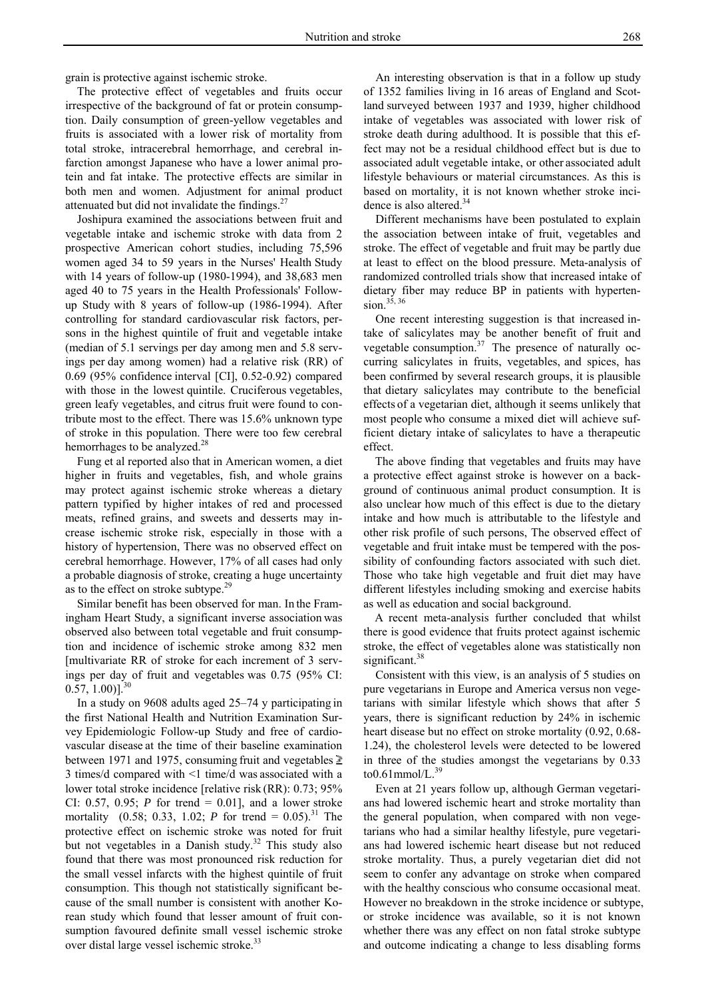grain is protective against ischemic stroke.

 The protective effect of vegetables and fruits occur irrespective of the background of fat or protein consumption. Daily consumption of green-yellow vegetables and fruits is associated with a lower risk of mortality from total stroke, intracerebral hemorrhage, and cerebral infarction amongst Japanese who have a lower animal protein and fat intake. The protective effects are similar in both men and women. Adjustment for animal product attenuated but did not invalidate the findings. $27$ 

 Joshipura examined the associations between fruit and vegetable intake and ischemic stroke with data from 2 prospective American cohort studies, including 75,596 women aged 34 to 59 years in the Nurses' Health Study with 14 years of follow-up (1980-1994), and 38,683 men aged 40 to 75 years in the Health Professionals' Followup Study with 8 years of follow-up (1986-1994). After controlling for standard cardiovascular risk factors, persons in the highest quintile of fruit and vegetable intake (median of 5.1 servings per day among men and 5.8 servings per day among women) had a relative risk (RR) of 0.69 (95% confidence interval [CI], 0.52-0.92) compared with those in the lowest quintile. Cruciferous vegetables, green leafy vegetables, and citrus fruit were found to contribute most to the effect. There was 15.6% unknown type of stroke in this population. There were too few cerebral hemorrhages to be analyzed.<sup>28</sup>

 Fung et al reported also that in American women, a diet higher in fruits and vegetables, fish, and whole grains may protect against ischemic stroke whereas a dietary pattern typified by higher intakes of red and processed meats, refined grains, and sweets and desserts may increase ischemic stroke risk, especially in those with a history of hypertension, There was no observed effect on cerebral hemorrhage. However, 17% of all cases had only a probable diagnosis of stroke, creating a huge uncertainty as to the effect on stroke subtype.<sup>29</sup>

 Similar benefit has been observed for man. In the Framingham Heart Study, a significant inverse association was observed also between total vegetable and fruit consumption and incidence of ischemic stroke among 832 men [multivariate RR of stroke for each increment of 3 servings per day of fruit and vegetables was 0.75 (95% CI:  $(0.57, 1.00)$ <sup>30</sup>

 In a study on 9608 adults aged 25–74 y participating in the first National Health and Nutrition Examination Survey Epidemiologic Follow-up Study and free of cardiovascular disease at the time of their baseline examination between 1971 and 1975, consuming fruit and vegetables  $\geq$ 3 times/d compared with <1 time/d was associated with a lower total stroke incidence [relative risk (RR): 0.73; 95% CI: 0.57, 0.95; *P* for trend = 0.01], and a lower stroke mortality  $(0.58; 0.33, 1.02; P$  for trend = 0.05).<sup>31</sup> The protective effect on ischemic stroke was noted for fruit but not vegetables in a Danish study.<sup>32</sup> This study also found that there was most pronounced risk reduction for the small vessel infarcts with the highest quintile of fruit consumption. This though not statistically significant because of the small number is consistent with another Korean study which found that lesser amount of fruit consumption favoured definite small vessel ischemic stroke over distal large vessel ischemic stroke.<sup>33</sup>

 An interesting observation is that in a follow up study of 1352 families living in 16 areas of England and Scotland surveyed between 1937 and 1939, higher childhood intake of vegetables was associated with lower risk of stroke death during adulthood. It is possible that this effect may not be a residual childhood effect but is due to associated adult vegetable intake, or other associated adult lifestyle behaviours or material circumstances. As this is based on mortality, it is not known whether stroke incidence is also altered.<sup>34</sup>

 Different mechanisms have been postulated to explain the association between intake of fruit, vegetables and stroke. The effect of vegetable and fruit may be partly due at least to effect on the blood pressure. Meta-analysis of randomized controlled trials show that increased intake of dietary fiber may reduce BP in patients with hypertension. $3\overline{5}$ , 36

 One recent interesting suggestion is that increased intake of salicylates may be another benefit of fruit and vegetable consumption. $37$  The presence of naturally occurring salicylates in fruits, vegetables, and spices, has been confirmed by several research groups, it is plausible that dietary salicylates may contribute to the beneficial effects of a vegetarian diet, although it seems unlikely that most people who consume a mixed diet will achieve sufficient dietary intake of salicylates to have a therapeutic effect.

 The above finding that vegetables and fruits may have a protective effect against stroke is however on a background of continuous animal product consumption. It is also unclear how much of this effect is due to the dietary intake and how much is attributable to the lifestyle and other risk profile of such persons, The observed effect of vegetable and fruit intake must be tempered with the possibility of confounding factors associated with such diet. Those who take high vegetable and fruit diet may have different lifestyles including smoking and exercise habits as well as education and social background.

 A recent meta-analysis further concluded that whilst there is good evidence that fruits protect against ischemic stroke, the effect of vegetables alone was statistically non significant.<sup>38</sup>

 Consistent with this view, is an analysis of 5 studies on pure vegetarians in Europe and America versus non vegetarians with similar lifestyle which shows that after 5 years, there is significant reduction by 24% in ischemic heart disease but no effect on stroke mortality (0.92, 0.68- 1.24), the cholesterol levels were detected to be lowered in three of the studies amongst the vegetarians by 0.33 to $0.61$ mmol/L. $^{39}$ 

 Even at 21 years follow up, although German vegetarians had lowered ischemic heart and stroke mortality than the general population, when compared with non vegetarians who had a similar healthy lifestyle, pure vegetarians had lowered ischemic heart disease but not reduced stroke mortality. Thus, a purely vegetarian diet did not seem to confer any advantage on stroke when compared with the healthy conscious who consume occasional meat. However no breakdown in the stroke incidence or subtype, or stroke incidence was available, so it is not known whether there was any effect on non fatal stroke subtype and outcome indicating a change to less disabling forms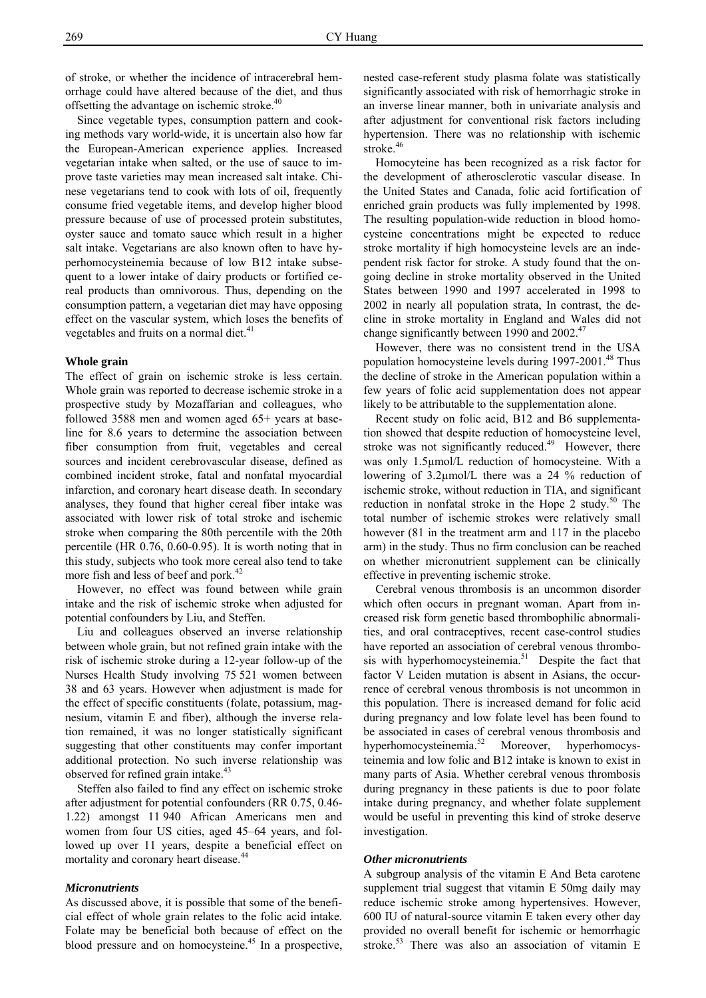of stroke, or whether the incidence of intracerebral hemorrhage could have altered because of the diet, and thus offsetting the advantage on ischemic stroke.<sup>40</sup>

 Since vegetable types, consumption pattern and cooking methods vary world-wide, it is uncertain also how far the European-American experience applies. Increased vegetarian intake when salted, or the use of sauce to improve taste varieties may mean increased salt intake. Chinese vegetarians tend to cook with lots of oil, frequently consume fried vegetable items, and develop higher blood pressure because of use of processed protein substitutes, oyster sauce and tomato sauce which result in a higher salt intake. Vegetarians are also known often to have hyperhomocysteinemia because of low B12 intake subsequent to a lower intake of dairy products or fortified cereal products than omnivorous. Thus, depending on the consumption pattern, a vegetarian diet may have opposing effect on the vascular system, which loses the benefits of vegetables and fruits on a normal diet. $41$ 

# **Whole grain**

The effect of grain on ischemic stroke is less certain. Whole grain was reported to decrease ischemic stroke in a prospective study by Mozaffarian and colleagues, who followed 3588 men and women aged 65+ years at baseline for 8.6 years to determine the association between fiber consumption from fruit, vegetables and cereal sources and incident cerebrovascular disease, defined as combined incident stroke, fatal and nonfatal myocardial infarction, and coronary heart disease death. In secondary analyses, they found that higher cereal fiber intake was associated with lower risk of total stroke and ischemic stroke when comparing the 80th percentile with the 20th percentile (HR 0.76, 0.60-0.95). It is worth noting that in this study, subjects who took more cereal also tend to take more fish and less of beef and pork.<sup>42</sup>

 However, no effect was found between while grain intake and the risk of ischemic stroke when adjusted for potential confounders by Liu, and Steffen.

 Liu and colleagues observed an inverse relationship between whole grain, but not refined grain intake with the risk of ischemic stroke during a 12-year follow-up of the Nurses Health Study involving 75 521 women between 38 and 63 years. However when adjustment is made for the effect of specific constituents (folate, potassium, magnesium, vitamin E and fiber), although the inverse relation remained, it was no longer statistically significant suggesting that other constituents may confer important additional protection. No such inverse relationship was observed for refined grain intake.<sup>43</sup>

 Steffen also failed to find any effect on ischemic stroke after adjustment for potential confounders (RR 0.75, 0.46- 1.22) amongst 11 940 African Americans men and women from four US cities, aged 45–64 years, and followed up over 11 years, despite a beneficial effect on mortality and coronary heart disease.<sup>44</sup>

#### *Micronutrients*

As discussed above, it is possible that some of the beneficial effect of whole grain relates to the folic acid intake. Folate may be beneficial both because of effect on the blood pressure and on homocysteine.<sup>45</sup> In a prospective,

nested case-referent study plasma folate was statistically significantly associated with risk of hemorrhagic stroke in an inverse linear manner, both in univariate analysis and after adjustment for conventional risk factors including hypertension. There was no relationship with ischemic stroke.<sup>46</sup>

 Homocyteine has been recognized as a risk factor for the development of atherosclerotic vascular disease. In the United States and Canada, folic acid fortification of enriched grain products was fully implemented by 1998. The resulting population-wide reduction in blood homocysteine concentrations might be expected to reduce stroke mortality if high homocysteine levels are an independent risk factor for stroke. A study found that the ongoing decline in stroke mortality observed in the United States between 1990 and 1997 accelerated in 1998 to 2002 in nearly all population strata, In contrast, the decline in stroke mortality in England and Wales did not change significantly between 1990 and 2002.<sup>47</sup>

 However, there was no consistent trend in the USA population homocysteine levels during  $1997-2001$ .<sup>48</sup> Thus the decline of stroke in the American population within a few years of folic acid supplementation does not appear likely to be attributable to the supplementation alone.

 Recent study on folic acid, B12 and B6 supplementation showed that despite reduction of homocysteine level, stroke was not significantly reduced. $49$  However, there was only 1.5µmol/L reduction of homocysteine. With a lowering of 3.2µmol/L there was a 24 % reduction of ischemic stroke, without reduction in TIA, and significant reduction in nonfatal stroke in the Hope 2 study. $50$  The total number of ischemic strokes were relatively small however  $(81$  in the treatment arm and 117 in the placebo arm) in the study. Thus no firm conclusion can be reached on whether micronutrient supplement can be clinically effective in preventing ischemic stroke.

 Cerebral venous thrombosis is an uncommon disorder which often occurs in pregnant woman. Apart from increased risk form genetic based thrombophilic abnormalities, and oral contraceptives, recent case-control studies have reported an association of cerebral venous thrombosis with hyperhomocysteinemia.<sup>51</sup> Despite the fact that factor V Leiden mutation is absent in Asians, the occurrence of cerebral venous thrombosis is not uncommon in this population. There is increased demand for folic acid during pregnancy and low folate level has been found to be associated in cases of cerebral venous thrombosis and hyperhomocysteinemia.<sup>52</sup> Moreover, hyperhomocysteinemia and low folic and B12 intake is known to exist in many parts of Asia. Whether cerebral venous thrombosis during pregnancy in these patients is due to poor folate intake during pregnancy, and whether folate supplement would be useful in preventing this kind of stroke deserve investigation.

# *Other micronutrients*

A subgroup analysis of the vitamin E And Beta carotene supplement trial suggest that vitamin E 50mg daily may reduce ischemic stroke among hypertensives. However, 600 IU of natural-source vitamin E taken every other day provided no overall benefit for ischemic or hemorrhagic stroke.<sup>53</sup> There was also an association of vitamin E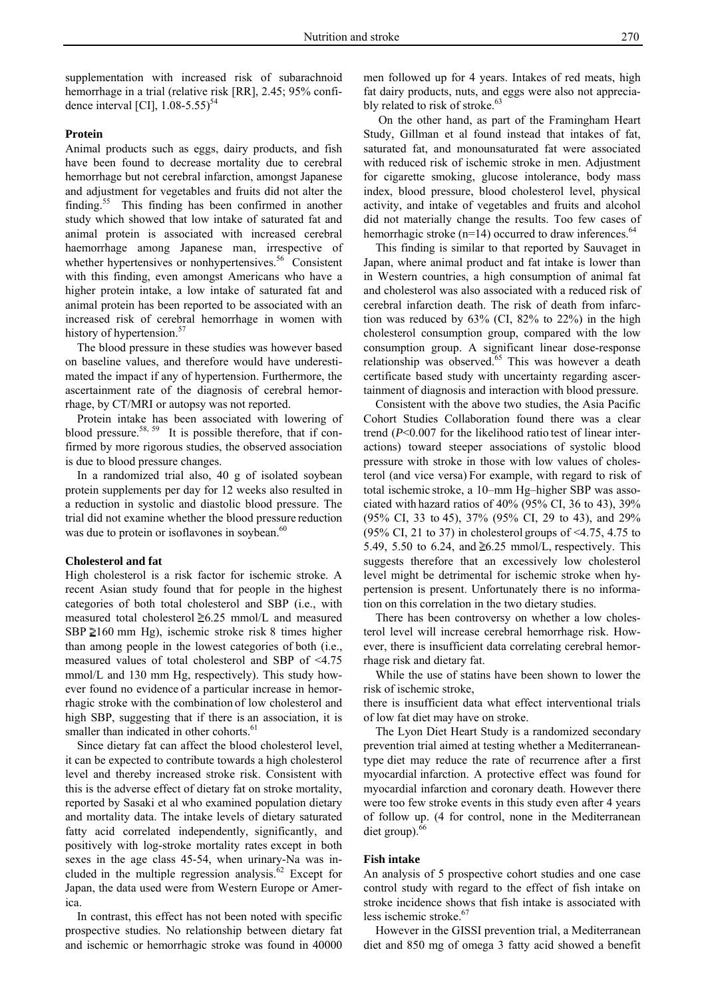supplementation with increased risk of subarachnoid hemorrhage in a trial (relative risk [RR], 2.45; 95% confidence interval [CI],  $1.08 - 5.55$ <sup>54</sup>

# **Protein**

Animal products such as eggs, dairy products, and fish have been found to decrease mortality due to cerebral hemorrhage but not cerebral infarction, amongst Japanese and adjustment for vegetables and fruits did not alter the finding.55 This finding has been confirmed in another study which showed that low intake of saturated fat and animal protein is associated with increased cerebral haemorrhage among Japanese man, irrespective of whether hypertensives or nonhypertensives.<sup>56</sup> Consistent with this finding, even amongst Americans who have a higher protein intake, a low intake of saturated fat and animal protein has been reported to be associated with an increased risk of cerebral hemorrhage in women with history of hypertension.<sup>57</sup>

 The blood pressure in these studies was however based on baseline values, and therefore would have underestimated the impact if any of hypertension. Furthermore, the ascertainment rate of the diagnosis of cerebral hemorrhage, by CT/MRI or autopsy was not reported.

 Protein intake has been associated with lowering of blood pressure.<sup>58, 59</sup> It is possible therefore, that if confirmed by more rigorous studies, the observed association is due to blood pressure changes.

 In a randomized trial also, 40 g of isolated soybean protein supplements per day for 12 weeks also resulted in a reduction in systolic and diastolic blood pressure. The trial did not examine whether the blood pressure reduction was due to protein or isoflavones in soybean.<sup>60</sup>

#### **Cholesterol and fat**

High cholesterol is a risk factor for ischemic stroke. A recent Asian study found that for people in the highest categories of both total cholesterol and SBP (i.e., with measured total cholesterol  $\geq 6.25$  mmol/L and measured SBP  $\geq 160$  mm Hg), ischemic stroke risk 8 times higher than among people in the lowest categories of both (i.e., measured values of total cholesterol and SBP of <4.75 mmol/L and 130 mm Hg, respectively). This study however found no evidence of a particular increase in hemorrhagic stroke with the combination of low cholesterol and high SBP, suggesting that if there is an association, it is smaller than indicated in other cohorts.<sup>61</sup>

 Since dietary fat can affect the blood cholesterol level, it can be expected to contribute towards a high cholesterol level and thereby increased stroke risk. Consistent with this is the adverse effect of dietary fat on stroke mortality, reported by Sasaki et al who examined population dietary and mortality data. The intake levels of dietary saturated fatty acid correlated independently, significantly, and positively with log-stroke mortality rates except in both sexes in the age class 45-54, when urinary-Na was included in the multiple regression analysis. $62$  Except for Japan, the data used were from Western Europe or America.

 In contrast, this effect has not been noted with specific prospective studies. No relationship between dietary fat and ischemic or hemorrhagic stroke was found in 40000 men followed up for 4 years. Intakes of red meats, high fat dairy products, nuts, and eggs were also not appreciably related to risk of stroke.<sup>63</sup>

 On the other hand, as part of the Framingham Heart Study, Gillman et al found instead that intakes of fat, saturated fat, and monounsaturated fat were associated with reduced risk of ischemic stroke in men. Adjustment for cigarette smoking, glucose intolerance, body mass index, blood pressure, blood cholesterol level, physical activity, and intake of vegetables and fruits and alcohol did not materially change the results. Too few cases of hemorrhagic stroke ( $n=14$ ) occurred to draw inferences.<sup>64</sup>

 This finding is similar to that reported by Sauvaget in Japan, where animal product and fat intake is lower than in Western countries, a high consumption of animal fat and cholesterol was also associated with a reduced risk of cerebral infarction death. The risk of death from infarction was reduced by 63% (CI, 82% to 22%) in the high cholesterol consumption group, compared with the low consumption group. A significant linear dose-response relationship was observed.<sup>65</sup> This was however a death certificate based study with uncertainty regarding ascertainment of diagnosis and interaction with blood pressure.

 Consistent with the above two studies, the Asia Pacific Cohort Studies Collaboration found there was a clear trend (*P*<0.007 for the likelihood ratio test of linear interactions) toward steeper associations of systolic blood pressure with stroke in those with low values of cholesterol (and vice versa) For example, with regard to risk of total ischemic stroke, a 10–mm Hg–higher SBP was associated with hazard ratios of 40% (95% CI, 36 to 43), 39% (95% CI, 33 to 45), 37% (95% CI, 29 to 43), and 29% (95% CI, 21 to 37) in cholesterol groups of  $\leq$ 4.75, 4.75 to 5.49, 5.50 to 6.24, and  $\geq 6.25$  mmol/L, respectively. This suggests therefore that an excessively low cholesterol level might be detrimental for ischemic stroke when hypertension is present. Unfortunately there is no information on this correlation in the two dietary studies.

 There has been controversy on whether a low cholesterol level will increase cerebral hemorrhage risk. However, there is insufficient data correlating cerebral hemorrhage risk and dietary fat.

 While the use of statins have been shown to lower the risk of ischemic stroke,

there is insufficient data what effect interventional trials of low fat diet may have on stroke.

 The Lyon Diet Heart Study is a randomized secondary prevention trial aimed at testing whether a Mediterraneantype diet may reduce the rate of recurrence after a first myocardial infarction. A protective effect was found for myocardial infarction and coronary death. However there were too few stroke events in this study even after 4 years of follow up. (4 for control, none in the Mediterranean diet group). $<sup>6</sup>$ </sup>

# **Fish intake**

An analysis of 5 prospective cohort studies and one case control study with regard to the effect of fish intake on stroke incidence shows that fish intake is associated with less ischemic stroke.<sup>67</sup>

 However in the GISSI prevention trial, a Mediterranean diet and 850 mg of omega 3 fatty acid showed a benefit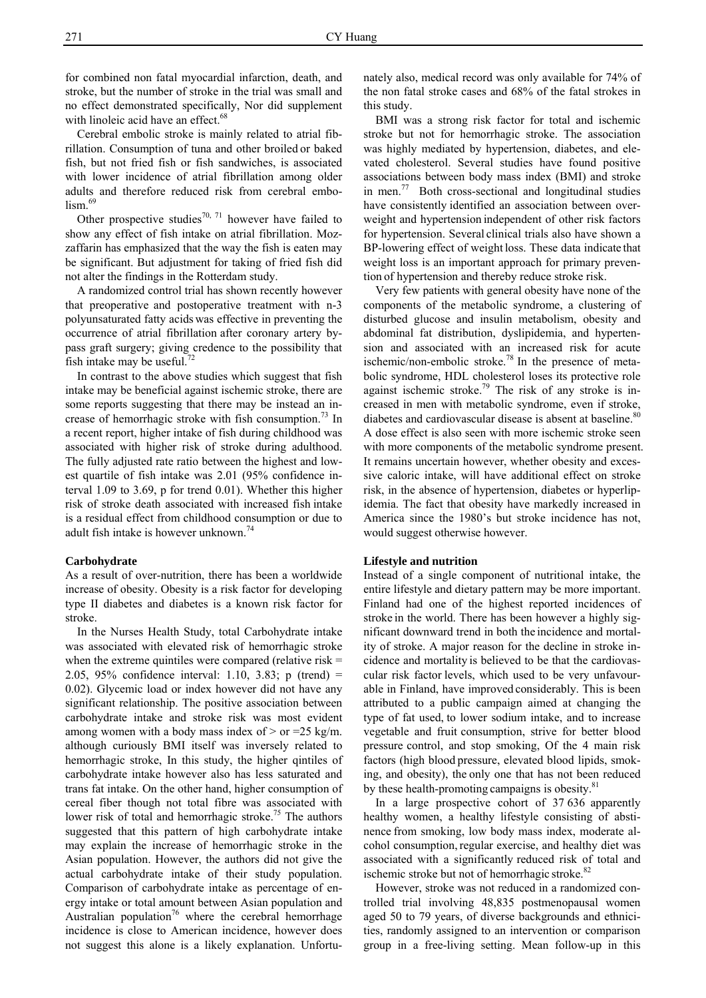for combined non fatal myocardial infarction, death, and stroke, but the number of stroke in the trial was small and no effect demonstrated specifically, Nor did supplement with linoleic acid have an effect.<sup>68</sup>

 Cerebral embolic stroke is mainly related to atrial fibrillation. Consumption of tuna and other broiled or baked fish, but not fried fish or fish sandwiches, is associated with lower incidence of atrial fibrillation among older adults and therefore reduced risk from cerebral embo- $\lim_{69}$ 

Other prospective studies<sup>70, 71</sup> however have failed to show any effect of fish intake on atrial fibrillation. Mozzaffarin has emphasized that the way the fish is eaten may be significant. But adjustment for taking of fried fish did not alter the findings in the Rotterdam study.

A randomized control trial has shown recently however that preoperative and postoperative treatment with n-3 polyunsaturated fatty acids was effective in preventing the occurrence of atrial fibrillation after coronary artery bypass graft surgery; giving credence to the possibility that fish intake may be useful. $^{72}$ 

 In contrast to the above studies which suggest that fish intake may be beneficial against ischemic stroke, there are some reports suggesting that there may be instead an increase of hemorrhagic stroke with fish consumption.<sup>13</sup> In a recent report, higher intake of fish during childhood was associated with higher risk of stroke during adulthood. The fully adjusted rate ratio between the highest and lowest quartile of fish intake was 2.01 (95% confidence interval 1.09 to 3.69, p for trend 0.01). Whether this higher risk of stroke death associated with increased fish intake is a residual effect from childhood consumption or due to adult fish intake is however unknown.<sup>74</sup>

#### **Carbohydrate**

As a result of over-nutrition, there has been a worldwide increase of obesity. Obesity is a risk factor for developing type II diabetes and diabetes is a known risk factor for stroke.

 In the Nurses Health Study, total Carbohydrate intake was associated with elevated risk of hemorrhagic stroke when the extreme quintiles were compared (relative risk  $=$ 2.05, 95% confidence interval: 1.10, 3.83; p (trend) = 0.02). Glycemic load or index however did not have any significant relationship. The positive association between carbohydrate intake and stroke risk was most evident among women with a body mass index of  $>$  or =25 kg/m. although curiously BMI itself was inversely related to hemorrhagic stroke, In this study, the higher qintiles of carbohydrate intake however also has less saturated and trans fat intake. On the other hand, higher consumption of cereal fiber though not total fibre was associated with lower risk of total and hemorrhagic stroke.<sup>75</sup> The authors suggested that this pattern of high carbohydrate intake may explain the increase of hemorrhagic stroke in the Asian population. However, the authors did not give the actual carbohydrate intake of their study population. Comparison of carbohydrate intake as percentage of energy intake or total amount between Asian population and Australian population<sup>76</sup> where the cerebral hemorrhage incidence is close to American incidence, however does not suggest this alone is a likely explanation. Unfortunately also, medical record was only available for 74% of the non fatal stroke cases and 68% of the fatal strokes in this study.

 BMI was a strong risk factor for total and ischemic stroke but not for hemorrhagic stroke. The association was highly mediated by hypertension, diabetes, and elevated cholesterol. Several studies have found positive associations between body mass index (BMI) and stroke in men.77 Both cross-sectional and longitudinal studies have consistently identified an association between overweight and hypertension independent of other risk factors for hypertension. Several clinical trials also have shown a BP-lowering effect of weight loss. These data indicate that weight loss is an important approach for primary prevention of hypertension and thereby reduce stroke risk.

 Very few patients with general obesity have none of the components of the metabolic syndrome, a clustering of disturbed glucose and insulin metabolism, obesity and abdominal fat distribution, dyslipidemia, and hypertension and associated with an increased risk for acute ischemic/non-embolic stroke.<sup>78</sup> In the presence of metabolic syndrome, HDL cholesterol loses its protective role against ischemic stroke.<sup>79</sup> The risk of any stroke is increased in men with metabolic syndrome, even if stroke, diabetes and cardiovascular disease is absent at baseline.<sup>80</sup> A dose effect is also seen with more ischemic stroke seen with more components of the metabolic syndrome present. It remains uncertain however, whether obesity and excessive caloric intake, will have additional effect on stroke risk, in the absence of hypertension, diabetes or hyperlipidemia. The fact that obesity have markedly increased in America since the 1980's but stroke incidence has not, would suggest otherwise however.

#### **Lifestyle and nutrition**

Instead of a single component of nutritional intake, the entire lifestyle and dietary pattern may be more important. Finland had one of the highest reported incidences of stroke in the world. There has been however a highly significant downward trend in both the incidence and mortality of stroke. A major reason for the decline in stroke incidence and mortality is believed to be that the cardiovascular risk factor levels, which used to be very unfavourable in Finland, have improved considerably. This is been attributed to a public campaign aimed at changing the type of fat used, to lower sodium intake, and to increase vegetable and fruit consumption, strive for better blood pressure control, and stop smoking, Of the 4 main risk factors (high blood pressure, elevated blood lipids, smoking, and obesity), the only one that has not been reduced by these health-promoting campaigns is obesity. $81$ 

 In a large prospective cohort of 37 636 apparently healthy women, a healthy lifestyle consisting of abstinence from smoking, low body mass index, moderate alcohol consumption, regular exercise, and healthy diet was associated with a significantly reduced risk of total and ischemic stroke but not of hemorrhagic stroke. $82$ 

 However, stroke was not reduced in a randomized controlled trial involving 48,835 postmenopausal women aged 50 to 79 years, of diverse backgrounds and ethnicities, randomly assigned to an intervention or comparison group in a free-living setting. Mean follow-up in this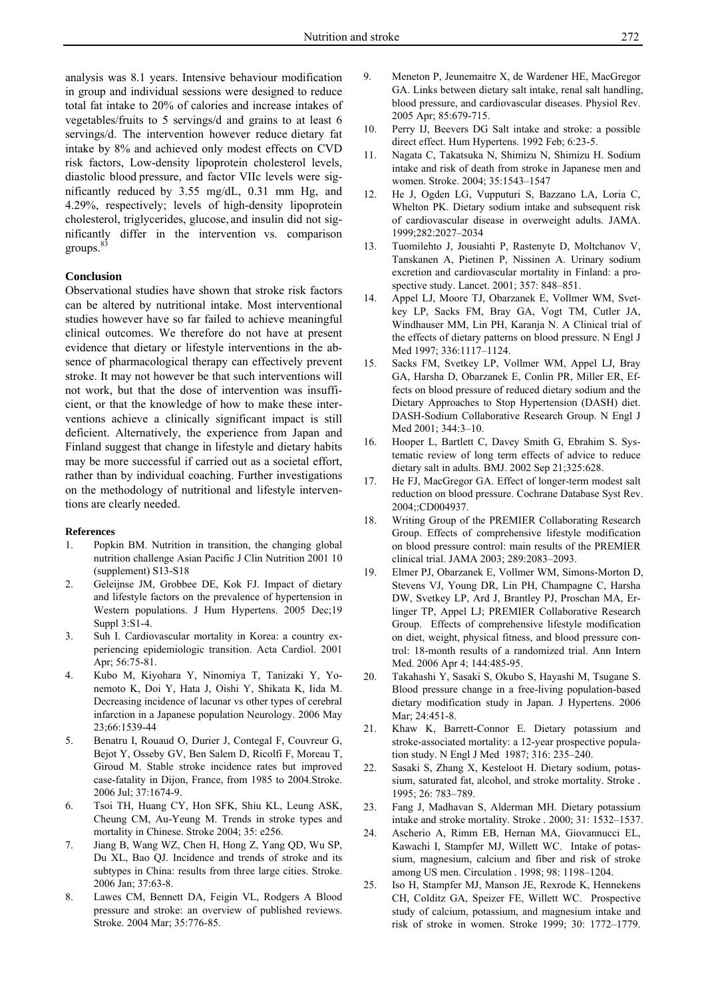analysis was 8.1 years. Intensive behaviour modification in group and individual sessions were designed to reduce total fat intake to 20% of calories and increase intakes of vegetables/fruits to 5 servings/d and grains to at least 6 servings/d. The intervention however reduce dietary fat intake by 8% and achieved only modest effects on CVD risk factors, Low-density lipoprotein cholesterol levels, diastolic blood pressure, and factor VIIc levels were significantly reduced by 3.55 mg/dL, 0.31 mm Hg, and 4.29%, respectively; levels of high-density lipoprotein cholesterol, triglycerides, glucose, and insulin did not significantly differ in the intervention vs. comparison groups.<sup>83</sup>

## **Conclusion**

Observational studies have shown that stroke risk factors can be altered by nutritional intake. Most interventional studies however have so far failed to achieve meaningful clinical outcomes. We therefore do not have at present evidence that dietary or lifestyle interventions in the absence of pharmacological therapy can effectively prevent stroke. It may not however be that such interventions will not work, but that the dose of intervention was insufficient, or that the knowledge of how to make these interventions achieve a clinically significant impact is still deficient. Alternatively, the experience from Japan and Finland suggest that change in lifestyle and dietary habits may be more successful if carried out as a societal effort, rather than by individual coaching. Further investigations on the methodology of nutritional and lifestyle interventions are clearly needed.

#### **References**

- 1. Popkin BM. Nutrition in transition, the changing global nutrition challenge Asian Pacific J Clin Nutrition 2001 10 (supplement) S13-S18
- 2. Geleijnse JM, Grobbee DE, Kok FJ. Impact of dietary and lifestyle factors on the prevalence of hypertension in Western populations. J Hum Hypertens. 2005 Dec;19 Suppl 3:S1-4.
- 3. Suh I. Cardiovascular mortality in Korea: a country experiencing epidemiologic transition. Acta Cardiol. 2001 Apr; 56:75-81.
- 4. Kubo M, Kiyohara Y, Ninomiya T, Tanizaki Y, Yonemoto K, Doi Y, Hata J, Oishi Y, Shikata K, Iida M. Decreasing incidence of lacunar vs other types of cerebral infarction in a Japanese population Neurology. 2006 May 23;66:1539-44
- 5. Benatru I, Rouaud O, Durier J, Contegal F, Couvreur G, Bejot Y, Osseby GV, Ben Salem D, Ricolfi F, Moreau T, Giroud M. Stable stroke incidence rates but improved case-fatality in Dijon, France, from 1985 to 2004.Stroke. 2006 Jul; 37:1674-9.
- 6. Tsoi TH, Huang CY, Hon SFK, Shiu KL, Leung ASK, Cheung CM, Au-Yeung M. Trends in stroke types and mortality in Chinese. Stroke 2004; 35: e256.
- 7. Jiang B, Wang WZ, Chen H, Hong Z, Yang QD, Wu SP, Du XL, Bao QJ. Incidence and trends of stroke and its subtypes in China: results from three large cities. Stroke. 2006 Jan; 37:63-8.
- 8. Lawes CM, Bennett DA, Feigin VL, Rodgers A Blood pressure and stroke: an overview of published reviews. Stroke. 2004 Mar; 35:776-85.
- 9. Meneton P, Jeunemaitre X, de Wardener HE, MacGregor GA. Links between dietary salt intake, renal salt handling, blood pressure, and cardiovascular diseases. Physiol Rev. 2005 Apr; 85:679-715.
- 10. Perry IJ, Beevers DG Salt intake and stroke: a possible direct effect. Hum Hypertens. 1992 Feb; 6:23-5.
- 11. Nagata C, Takatsuka N, Shimizu N, Shimizu H. Sodium intake and risk of death from stroke in Japanese men and women. Stroke. 2004; 35:1543–1547
- 12. He J, Ogden LG, Vupputuri S, Bazzano LA, Loria C, Whelton PK. Dietary sodium intake and subsequent risk of cardiovascular disease in overweight adults. JAMA. 1999;282:2027–2034
- 13. Tuomilehto J, Jousiahti P, Rastenyte D, Moltchanov V, Tanskanen A, Pietinen P, Nissinen A. Urinary sodium excretion and cardiovascular mortality in Finland: a prospective study. Lancet. 2001; 357: 848–851.
- 14. Appel LJ, Moore TJ, Obarzanek E, Vollmer WM, Svetkey LP, Sacks FM, Bray GA, Vogt TM, Cutler JA, Windhauser MM, Lin PH, Karanja N. A Clinical trial of the effects of dietary patterns on blood pressure. N Engl J Med 1997; 336:1117–1124.
- 15. Sacks FM, Svetkey LP, Vollmer WM, Appel LJ, Bray GA, Harsha D, Obarzanek E, Conlin PR, Miller ER, Effects on blood pressure of reduced dietary sodium and the Dietary Approaches to Stop Hypertension (DASH) diet. DASH-Sodium Collaborative Research Group. N Engl J Med 2001; 344:3–10.
- 16. Hooper L, Bartlett C, Davey Smith G, Ebrahim S. Systematic review of long term effects of advice to reduce dietary salt in adults. BMJ. 2002 Sep 21;325:628.
- 17. He FJ, MacGregor GA. Effect of longer-term modest salt reduction on blood pressure. Cochrane Database Syst Rev. 2004;:CD004937.
- 18. Writing Group of the PREMIER Collaborating Research Group. Effects of comprehensive lifestyle modification on blood pressure control: main results of the PREMIER clinical trial. JAMA 2003; 289:2083–2093.
- 19. Elmer PJ, Obarzanek E, Vollmer WM, Simons-Morton D, Stevens VJ, Young DR, Lin PH, Champagne C, Harsha DW, Svetkey LP, Ard J, Brantley PJ, Proschan MA, Erlinger TP, Appel LJ; PREMIER Collaborative Research Group. Effects of comprehensive lifestyle modification on diet, weight, physical fitness, and blood pressure control: 18-month results of a randomized trial. Ann Intern Med. 2006 Apr 4; 144:485-95.
- 20. Takahashi Y, Sasaki S, Okubo S, Hayashi M, Tsugane S. Blood pressure change in a free-living population-based dietary modification study in Japan. J Hypertens. 2006 Mar; 24:451-8.
- 21. Khaw K, Barrett-Connor E. Dietary potassium and stroke-associated mortality: a 12-year prospective population study. N Engl J Med 1987; 316: 235–240.
- 22. Sasaki S, Zhang X, Kesteloot H. Dietary sodium, potassium, saturated fat, alcohol, and stroke mortality. Stroke *.*  1995; 26: 783–789.
- 23. Fang J, Madhavan S, Alderman MH. Dietary potassium intake and stroke mortality. Stroke *.* 2000; 31: 1532–1537.
- 24. Ascherio A, Rimm EB, Hernan MA, Giovannucci EL, Kawachi I, Stampfer MJ, Willett WC. Intake of potassium, magnesium, calcium and fiber and risk of stroke among US men. Circulation *.* 1998; 98: 1198–1204.
- 25. Iso H, Stampfer MJ, Manson JE, Rexrode K, Hennekens CH, Colditz GA, Speizer FE, Willett WC. Prospective study of calcium, potassium, and magnesium intake and risk of stroke in women. Stroke 1999; 30: 1772–1779.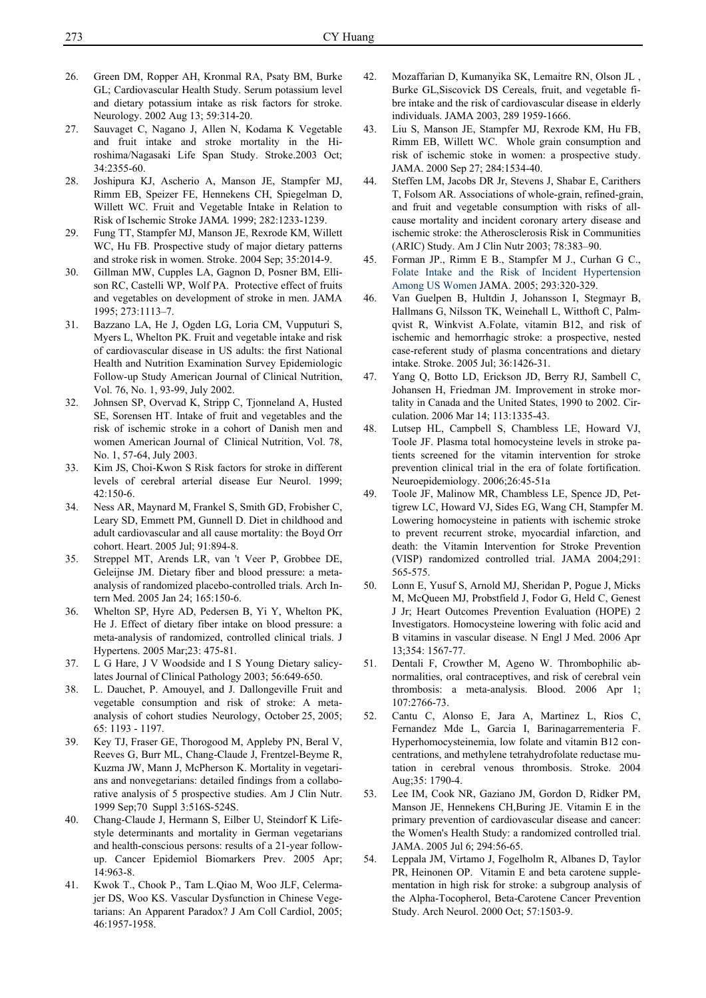- 26. Green DM, Ropper AH, Kronmal RA, Psaty BM, Burke GL; Cardiovascular Health Study. Serum potassium level and dietary potassium intake as risk factors for stroke. Neurology. 2002 Aug 13; 59:314-20.
- 27. Sauvaget C, Nagano J, Allen N, Kodama K Vegetable and fruit intake and stroke mortality in the Hiroshima/Nagasaki Life Span Study. Stroke.2003 Oct; 34:2355-60.
- 28. Joshipura KJ, Ascherio A, Manson JE, Stampfer MJ, Rimm EB, Speizer FE, Hennekens CH, Spiegelman D, Willett WC. Fruit and Vegetable Intake in Relation to Risk of Ischemic Stroke JAM*A.* 1999; 282:1233-1239.
- 29. Fung TT, Stampfer MJ, Manson JE, Rexrode KM, Willett WC, Hu FB. Prospective study of major dietary patterns and stroke risk in women. Stroke. 2004 Sep; 35:2014-9.
- 30. Gillman MW, Cupples LA, Gagnon D, Posner BM, Ellison RC, Castelli WP, Wolf PA. Protective effect of fruits and vegetables on development of stroke in men. JAMA 1995; 273:1113–7.
- 31. Bazzano LA, He J, Ogden LG, Loria CM, Vupputuri S, Myers L, Whelton PK. Fruit and vegetable intake and risk of cardiovascular disease in US adults: the first National Health and Nutrition Examination Survey Epidemiologic Follow-up Study American Journal of Clinical Nutrition, Vol. 76, No. 1, 93-99, July 2002.
- 32. Johnsen SP, Overvad K, Stripp C, Tjonneland A, Husted SE, Sorensen HT. Intake of fruit and vegetables and the risk of ischemic stroke in a cohort of Danish men and women American Journal of Clinical Nutrition, Vol. 78, No. 1, 57-64, July 2003.
- 33. Kim JS, Choi-Kwon S Risk factors for stroke in different levels of cerebral arterial disease Eur Neurol. 1999; 42:150-6.
- 34. Ness AR, Maynard M, Frankel S, Smith GD, Frobisher C, Leary SD, Emmett PM, Gunnell D. Diet in childhood and adult cardiovascular and all cause mortality: the Boyd Orr cohort. Heart. 2005 Jul; 91:894-8.
- 35. Streppel MT, Arends LR, van 't Veer P, Grobbee DE, Geleijnse JM. Dietary fiber and blood pressure: a metaanalysis of randomized placebo-controlled trials. Arch Intern Med. 2005 Jan 24; 165:150-6.
- 36. Whelton SP, Hyre AD, Pedersen B, Yi Y, Whelton PK, He J. Effect of dietary fiber intake on blood pressure: a meta-analysis of randomized, controlled clinical trials. J Hypertens. 2005 Mar;23: 475-81.
- 37. L G Hare, J V Woodside and I S Young Dietary salicylates Journal of Clinical Pathology 2003; 56:649-650.
- 38. L. Dauchet, P. Amouyel, and J. Dallongeville Fruit and vegetable consumption and risk of stroke: A metaanalysis of cohort studies Neurology, October 25, 2005; 65: 1193 - 1197.
- 39. Key TJ, Fraser GE, Thorogood M, Appleby PN, Beral V, Reeves G, Burr ML, Chang-Claude J, Frentzel-Beyme R, Kuzma JW, Mann J, McPherson K. Mortality in vegetarians and nonvegetarians: detailed findings from a collaborative analysis of 5 prospective studies. Am J Clin Nutr. 1999 Sep;70 Suppl 3:516S-524S.
- 40. Chang-Claude J, Hermann S, Eilber U, Steindorf K Lifestyle determinants and mortality in German vegetarians and health-conscious persons: results of a 21-year followup. Cancer Epidemiol Biomarkers Prev. 2005 Apr; 14:963-8.
- 41. Kwok T., Chook P., Tam L.Qiao M, Woo JLF, Celermajer DS, Woo KS. Vascular Dysfunction in Chinese Vegetarians: An Apparent Paradox? J Am Coll Cardiol, 2005; 46:1957-1958.
- 42. Mozaffarian D, Kumanyika SK, Lemaitre RN, Olson JL , Burke GL,Siscovick DS Cereals, fruit, and vegetable fibre intake and the risk of cardiovascular disease in elderly individuals. JAMA 2003, 289 1959-1666.
- 43. Liu S, Manson JE, Stampfer MJ, Rexrode KM, Hu FB, Rimm EB, Willett WC. Whole grain consumption and risk of ischemic stoke in women: a prospective study. JAMA. 2000 Sep 27; 284:1534-40.
- 44. Steffen LM, Jacobs DR Jr, Stevens J, Shabar E, Carithers T, Folsom AR. Associations of whole-grain, refined-grain, and fruit and vegetable consumption with risks of allcause mortality and incident coronary artery disease and ischemic stroke: the Atherosclerosis Risk in Communities (ARIC) Study. Am J Clin Nutr 2003; 78:383–90.
- 45. Forman JP., Rimm E B., Stampfer M J., Curhan G C., Folate Intake and the Risk of Incident Hypertension Among US Women JAMA. 2005; 293:320-329.
- 46. Van Guelpen B, Hultdin J, Johansson I, Stegmayr B, Hallmans G, Nilsson TK, Weinehall L, Witthoft C, Palmqvist R, Winkvist A.Folate, vitamin B12, and risk of ischemic and hemorrhagic stroke: a prospective, nested case-referent study of plasma concentrations and dietary intake. Stroke. 2005 Jul; 36:1426-31.
- 47. Yang Q, Botto LD, Erickson JD, Berry RJ, Sambell C, Johansen H, Friedman JM. Improvement in stroke mortality in Canada and the United States, 1990 to 2002. Circulation. 2006 Mar 14; 113:1335-43.
- 48. Lutsep HL, Campbell S, Chambless LE, Howard VJ, Toole JF. Plasma total homocysteine levels in stroke patients screened for the vitamin intervention for stroke prevention clinical trial in the era of folate fortification. Neuroepidemiology. 2006;26:45-51a
- 49. Toole JF, Malinow MR, Chambless LE, Spence JD, Pettigrew LC, Howard VJ, Sides EG, Wang CH, Stampfer M. Lowering homocysteine in patients with ischemic stroke to prevent recurrent stroke, myocardial infarction, and death: the Vitamin Intervention for Stroke Prevention (VISP) randomized controlled trial. JAMA 2004;291: 565-575.
- 50. Lonn E, Yusuf S, Arnold MJ, Sheridan P, Pogue J, Micks M, McQueen MJ, Probstfield J, Fodor G, Held C, Genest J Jr; Heart Outcomes Prevention Evaluation (HOPE) 2 Investigators. Homocysteine lowering with folic acid and B vitamins in vascular disease. N Engl J Med. 2006 Apr 13;354: 1567-77.
- 51. Dentali F, Crowther M, Ageno W. Thrombophilic abnormalities, oral contraceptives, and risk of cerebral vein thrombosis: a meta-analysis. Blood. 2006 Apr 1; 107:2766-73.
- 52. Cantu C, Alonso E, Jara A, Martinez L, Rios C, Fernandez Mde L, Garcia I, Barinagarrementeria F. Hyperhomocysteinemia, low folate and vitamin B12 concentrations, and methylene tetrahydrofolate reductase mutation in cerebral venous thrombosis. Stroke. 2004 Aug;35: 1790-4.
- 53. Lee IM, Cook NR, Gaziano JM, Gordon D, Ridker PM, Manson JE, Hennekens CH,Buring JE. Vitamin E in the primary prevention of cardiovascular disease and cancer: the Women's Health Study: a randomized controlled trial. JAMA. 2005 Jul 6; 294:56-65.
- 54. Leppala JM, Virtamo J, Fogelholm R, Albanes D, Taylor PR, Heinonen OP. Vitamin E and beta carotene supplementation in high risk for stroke: a subgroup analysis of the Alpha-Tocopherol, Beta-Carotene Cancer Prevention Study. Arch Neurol. 2000 Oct; 57:1503-9.